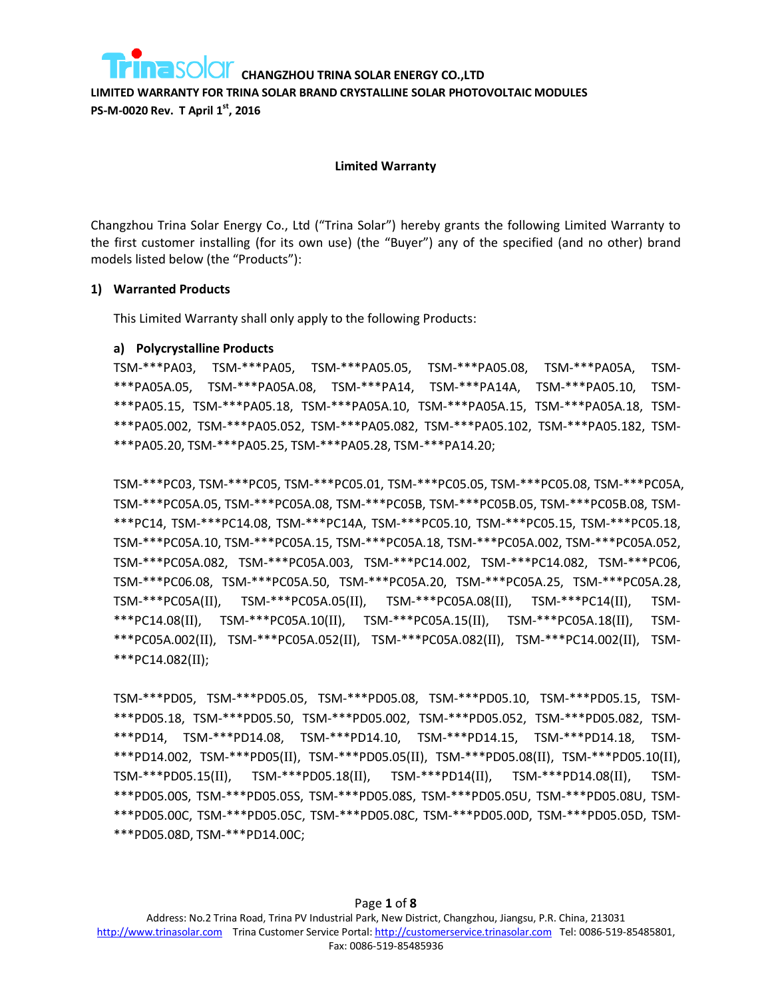**LIMITED WARRANTY FOR TRINA SOLAR BRAND CRYSTALLINE SOLAR PHOTOVOLTAIC MODULES PS-M-0020 Rev. T April 1st, 2016**

#### **Limited Warranty**

Changzhou Trina Solar Energy Co., Ltd ("Trina Solar") hereby grants the following Limited Warranty to the first customer installing (for its own use) (the "Buyer") any of the specified (and no other) brand models listed below (the "Products"):

### **1) Warranted Products**

This Limited Warranty shall only apply to the following Products:

### **a) Polycrystalline Products**

TSM-\*\*\*PA03, TSM-\*\*\*PA05, TSM-\*\*\*PA05.05, TSM-\*\*\*PA05.08, TSM-\*\*\*PA05A, TSM- \*\*\*PA05A.05, TSM-\*\*\*PA05A.08, TSM-\*\*\*PA14, TSM-\*\*\*PA14A, TSM-\*\*\*PA05.10, TSM- \*\*\*PA05.15, TSM-\*\*\*PA05.18, TSM-\*\*\*PA05A.10, TSM-\*\*\*PA05A.15, TSM-\*\*\*PA05A.18, TSM- \*\*\*PA05.002, TSM-\*\*\*PA05.052, TSM-\*\*\*PA05.082, TSM-\*\*\*PA05.102, TSM-\*\*\*PA05.182, TSM- \*\*\*PA05.20, TSM-\*\*\*PA05.25, TSM-\*\*\*PA05.28, TSM-\*\*\*PA14.20;

TSM-\*\*\*PC03, TSM-\*\*\*PC05, TSM-\*\*\*PC05.01, TSM-\*\*\*PC05.05, TSM-\*\*\*PC05.08, TSM-\*\*\*PC05A, TSM-\*\*\*PC05A.05, TSM-\*\*\*PC05A.08, TSM-\*\*\*PC05B, TSM-\*\*\*PC05B.05, TSM-\*\*\*PC05B.08, TSM- \*\*\*PC14, TSM-\*\*\*PC14.08, TSM-\*\*\*PC14A, TSM-\*\*\*PC05.10, TSM-\*\*\*PC05.15, TSM-\*\*\*PC05.18, TSM-\*\*\*PC05A.10, TSM-\*\*\*PC05A.15, TSM-\*\*\*PC05A.18, TSM-\*\*\*PC05A.002, TSM-\*\*\*PC05A.052, TSM-\*\*\*PC05A.082, TSM-\*\*\*PC05A.003, TSM-\*\*\*PC14.002, TSM-\*\*\*PC14.082, TSM-\*\*\*PC06, TSM-\*\*\*PC06.08, TSM-\*\*\*PC05A.50, TSM-\*\*\*PC05A.20, TSM-\*\*\*PC05A.25, TSM-\*\*\*PC05A.28, TSM-\*\*\*PC05A(II), TSM-\*\*\*PC05A.05(II), TSM-\*\*\*PC05A.08(II), TSM-\*\*\*PC14(II), TSM- \*\*\*PC14.08(II), TSM-\*\*\*PC05A.10(II), TSM-\*\*\*PC05A.15(II), TSM-\*\*\*PC05A.18(II), TSM- \*\*\*PC05A.002(II), TSM-\*\*\*PC05A.052(II), TSM-\*\*\*PC05A.082(II), TSM-\*\*\*PC14.002(II), TSM- \*\*\*PC14.082(II);

TSM-\*\*\*PD05, TSM-\*\*\*PD05.05, TSM-\*\*\*PD05.08, TSM-\*\*\*PD05.10, TSM-\*\*\*PD05.15, TSM- \*\*\*PD05.18, TSM-\*\*\*PD05.50, TSM-\*\*\*PD05.002, TSM-\*\*\*PD05.052, TSM-\*\*\*PD05.082, TSM- \*\*\*PD14, TSM-\*\*\*PD14.08, TSM-\*\*\*PD14.10, TSM-\*\*\*PD14.15, TSM-\*\*\*PD14.18, TSM- \*\*\*PD14.002, TSM-\*\*\*PD05(II), TSM-\*\*\*PD05.05(II), TSM-\*\*\*PD05.08(II), TSM-\*\*\*PD05.10(II), TSM-\*\*\*PD05.15(II), TSM-\*\*\*PD05.18(II), TSM-\*\*\*PD14(II), TSM-\*\*\*PD14.08(II), TSM- \*\*\*PD05.00S, TSM-\*\*\*PD05.05S, TSM-\*\*\*PD05.08S, TSM-\*\*\*PD05.05U, TSM-\*\*\*PD05.08U, TSM- \*\*\*PD05.00C, TSM-\*\*\*PD05.05C, TSM-\*\*\*PD05.08C, TSM-\*\*\*PD05.00D, TSM-\*\*\*PD05.05D, TSM- \*\*\*PD05.08D, TSM-\*\*\*PD14.00C;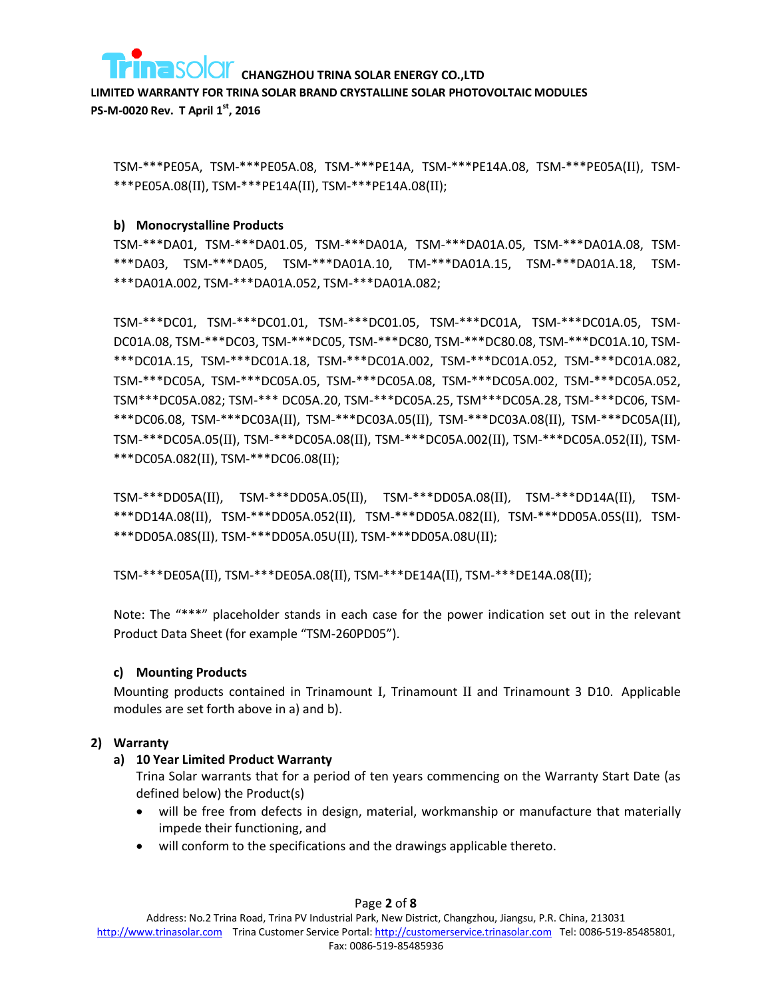

**LIMITED WARRANTY FOR TRINA SOLAR BRAND CRYSTALLINE SOLAR PHOTOVOLTAIC MODULES PS-M-0020 Rev. T April 1st, 2016**

TSM-\*\*\*PE05A, TSM-\*\*\*PE05A.08, TSM-\*\*\*PE14A, TSM-\*\*\*PE14A.08, TSM-\*\*\*PE05A(II), TSM- \*\*\*PE05A.08(II), TSM-\*\*\*PE14A(II), TSM-\*\*\*PE14A.08(II);

### **b) Monocrystalline Products**

TSM-\*\*\*DA01, TSM-\*\*\*DA01.05, TSM-\*\*\*DA01A, TSM-\*\*\*DA01A.05, TSM-\*\*\*DA01A.08, TSM- \*\*\*DA03, TSM-\*\*\*DA05, TSM-\*\*\*DA01A.10, TM-\*\*\*DA01A.15, TSM-\*\*\*DA01A.18, TSM- \*\*\*DA01A.002, TSM-\*\*\*DA01A.052, TSM-\*\*\*DA01A.082;

TSM-\*\*\*DC01, TSM-\*\*\*DC01.01, TSM-\*\*\*DC01.05, TSM-\*\*\*DC01A, TSM-\*\*\*DC01A.05, TSM-DC01A.08, TSM-\*\*\*DC03, TSM-\*\*\*DC05, TSM-\*\*\*DC80, TSM-\*\*\*DC80.08, TSM-\*\*\*DC01A.10, TSM- \*\*\*DC01A.15, TSM-\*\*\*DC01A.18, TSM-\*\*\*DC01A.002, TSM-\*\*\*DC01A.052, TSM-\*\*\*DC01A.082, TSM-\*\*\*DC05A, TSM-\*\*\*DC05A.05, TSM-\*\*\*DC05A.08, TSM-\*\*\*DC05A.002, TSM-\*\*\*DC05A.052, TSM\*\*\*DC05A.082; TSM-\*\*\* DC05A.20, TSM-\*\*\*DC05A.25, TSM\*\*\*DC05A.28, TSM-\*\*\*DC06, TSM- \*\*\*DC06.08, TSM-\*\*\*DC03A(II), TSM-\*\*\*DC03A.05(II), TSM-\*\*\*DC03A.08(II), TSM-\*\*\*DC05A(II), TSM-\*\*\*DC05A.05(II), TSM-\*\*\*DC05A.08(II), TSM-\*\*\*DC05A.002(II), TSM-\*\*\*DC05A.052(II), TSM- \*\*\*DC05A.082(II), TSM-\*\*\*DC06.08(II);

TSM-\*\*\*DD05A(II), TSM-\*\*\*DD05A.05(II), TSM-\*\*\*DD05A.08(II)**,** TSM-\*\*\*DD14A(II), TSM- \*\*\*DD14A.08(II), TSM-\*\*\*DD05A.052(II)**,** TSM-\*\*\*DD05A.082(II)**,** TSM-\*\*\*DD05A.05S(II)**,** TSM- \*\*\*DD05A.08S(II)**,** TSM-\*\*\*DD05A.05U(II)**,** TSM-\*\*\*DD05A.08U(II)**;**

TSM-\*\*\*DE05A(II), TSM-\*\*\*DE05A.08(II), TSM-\*\*\*DE14A(II), TSM-\*\*\*DE14A.08(II);

Note: The "\*\*\*" placeholder stands in each case for the power indication set out in the relevant Product Data Sheet (for example "TSM-260PD05").

### **c) Mounting Products**

Mounting products contained in Trinamount I, Trinamount II and Trinamount 3 D10. Applicable modules are set forth above in a) and b).

### **2) Warranty**

### **a) 10 Year Limited Product Warranty**

Trina Solar warrants that for a period of ten years commencing on the Warranty Start Date (as defined below) the Product(s)

- will be free from defects in design, material, workmanship or manufacture that materially impede their functioning, and
- will conform to the specifications and the drawings applicable thereto.

### Page **2** of **8**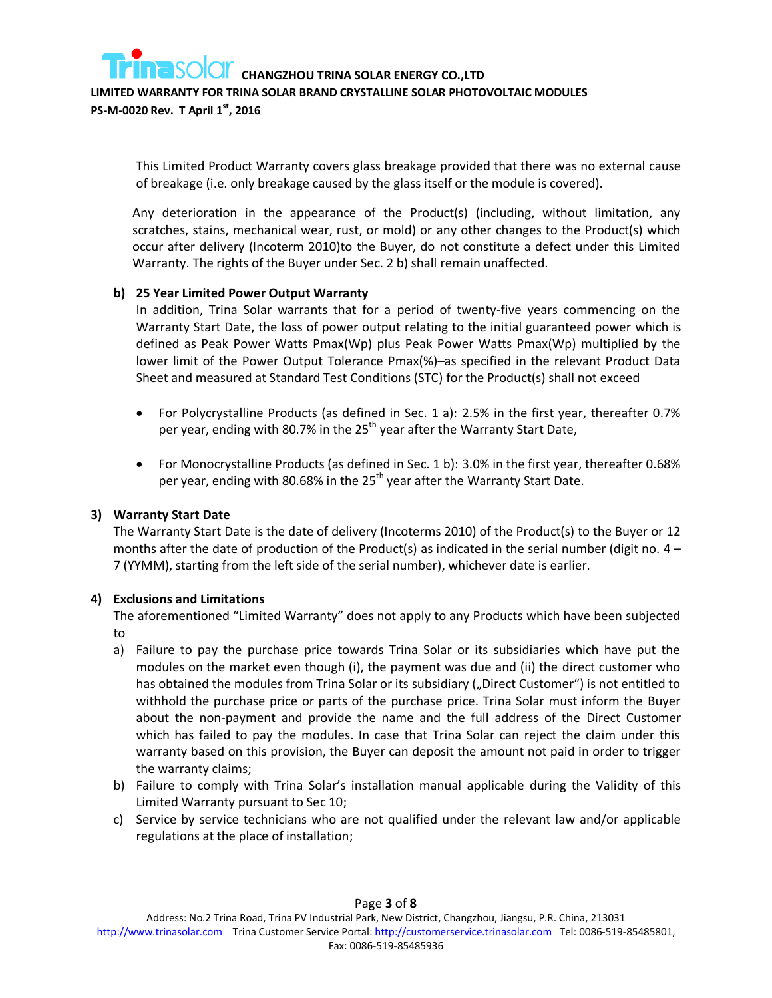**LIMITED WARRANTY FOR TRINA SOLAR BRAND CRYSTALLINE SOLAR PHOTOVOLTAIC MODULES** 

**PS-M-0020 Rev. T April 1st, 2016**

This Limited Product Warranty covers glass breakage provided that there was no external cause of breakage (i.e. only breakage caused by the glass itself or the module is covered).

Any deterioration in the appearance of the Product(s) (including, without limitation, any scratches, stains, mechanical wear, rust, or mold) or any other changes to the Product(s) which occur after delivery (Incoterm 2010)to the Buyer, do not constitute a defect under this Limited Warranty. The rights of the Buyer under Sec. 2 b) shall remain unaffected.

### **b) 25 Year Limited Power Output Warranty**

In addition, Trina Solar warrants that for a period of twenty-five years commencing on the Warranty Start Date, the loss of power output relating to the initial guaranteed power which is defined as Peak Power Watts Pmax(Wp) plus Peak Power Watts Pmax(Wp) multiplied by the lower limit of the Power Output Tolerance Pmax(%)–as specified in the relevant Product Data Sheet and measured at Standard Test Conditions (STC) for the Product(s) shall not exceed

- For Polycrystalline Products (as defined in Sec. 1 a): 2.5% in the first year, thereafter 0.7% per year, ending with 80.7% in the 25<sup>th</sup> year after the Warranty Start Date,
- For Monocrystalline Products (as defined in Sec. 1 b): 3.0% in the first year, thereafter 0.68% per year, ending with 80.68% in the 25<sup>th</sup> year after the Warranty Start Date.

### **3) Warranty Start Date**

The Warranty Start Date is the date of delivery (Incoterms 2010) of the Product(s) to the Buyer or 12 months after the date of production of the Product(s) as indicated in the serial number (digit no.  $4 -$ 7 (YYMM), starting from the left side of the serial number), whichever date is earlier.

### **4) Exclusions and Limitations**

The aforementioned "Limited Warranty" does not apply to any Products which have been subjected to

- a) Failure to pay the purchase price towards Trina Solar or its subsidiaries which have put the modules on the market even though (i), the payment was due and (ii) the direct customer who has obtained the modules from Trina Solar or its subsidiary ("Direct Customer") is not entitled to withhold the purchase price or parts of the purchase price. Trina Solar must inform the Buyer about the non-payment and provide the name and the full address of the Direct Customer which has failed to pay the modules. In case that Trina Solar can reject the claim under this warranty based on this provision, the Buyer can deposit the amount not paid in order to trigger the warranty claims;
- b) Failure to comply with Trina Solar's installation manual applicable during the Validity of this Limited Warranty pursuant to Sec 10;
- c) Service by service technicians who are not qualified under the relevant law and/or applicable regulations at the place of installation;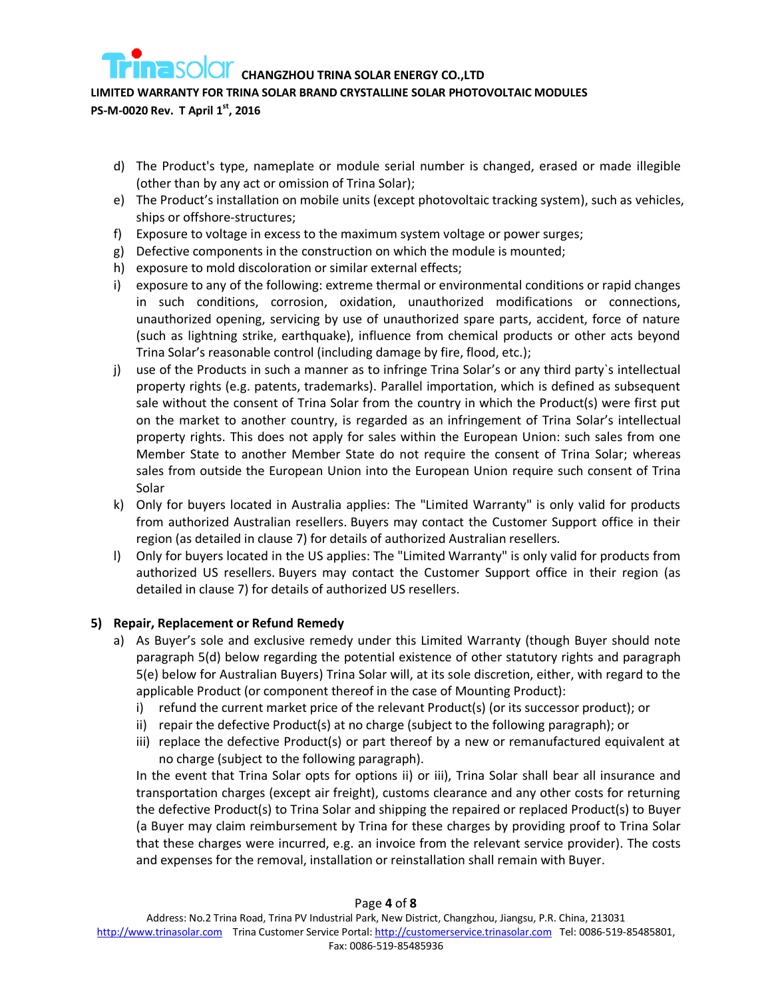### **LIMITED WARRANTY FOR TRINA SOLAR BRAND CRYSTALLINE SOLAR PHOTOVOLTAIC MODULES**

**PS-M-0020 Rev. T April 1st, 2016**

- d) The Product's type, nameplate or module serial number is changed, erased or made illegible (other than by any act or omission of Trina Solar);
- e) The Product's installation on mobile units (except photovoltaic tracking system), such as vehicles, ships or offshore-structures;
- f) Exposure to voltage in excess to the maximum system voltage or power surges;
- g) Defective components in the construction on which the module is mounted;
- h) exposure to mold discoloration or similar external effects;
- i) exposure to any of the following: extreme thermal or environmental conditions or rapid changes in such conditions, corrosion, oxidation, unauthorized modifications or connections, unauthorized opening, servicing by use of unauthorized spare parts, accident, force of nature (such as lightning strike, earthquake), influence from chemical products or other acts beyond Trina Solar's reasonable control (including damage by fire, flood, etc.);
- j) use of the Products in such a manner as to infringe Trina Solar's or any third party`s intellectual property rights (e.g. patents, trademarks). Parallel importation, which is defined as subsequent sale without the consent of Trina Solar from the country in which the Product(s) were first put on the market to another country, is regarded as an infringement of Trina Solar's intellectual property rights. This does not apply for sales within the European Union: such sales from one Member State to another Member State do not require the consent of Trina Solar; whereas sales from outside the European Union into the European Union require such consent of Trina Solar
- k) Only for buyers located in Australia applies: The "Limited Warranty" is only valid for products from authorized Australian resellers. Buyers may contact the Customer Support office in their region (as detailed in clause 7) for details of authorized Australian resellers.
- l) Only for buyers located in the US applies: The "Limited Warranty" is only valid for products from authorized US resellers. Buyers may contact the Customer Support office in their region (as detailed in clause 7) for details of authorized US resellers.

### **5) Repair, Replacement or Refund Remedy**

- a) As Buyer's sole and exclusive remedy under this Limited Warranty (though Buyer should note paragraph 5(d) below regarding the potential existence of other statutory rights and paragraph 5(e) below for Australian Buyers) Trina Solar will, at its sole discretion, either, with regard to the applicable Product (or component thereof in the case of Mounting Product):
	- i) refund the current market price of the relevant Product(s) (or its successor product); or
	- ii) repair the defective Product(s) at no charge (subject to the following paragraph); or
	- iii) replace the defective Product(s) or part thereof by a new or remanufactured equivalent at no charge (subject to the following paragraph).

<span id="page-3-1"></span><span id="page-3-0"></span>In the event that Trina Solar opts for options [ii\)](#page-3-0) or [iii\),](#page-3-1) Trina Solar shall bear all insurance and transportation charges (except air freight), customs clearance and any other costs for returning the defective Product(s) to Trina Solar and shipping the repaired or replaced Product(s) to Buyer (a Buyer may claim reimbursement by Trina for these charges by providing proof to Trina Solar that these charges were incurred, e.g. an invoice from the relevant service provider). The costs and expenses for the removal, installation or reinstallation shall remain with Buyer.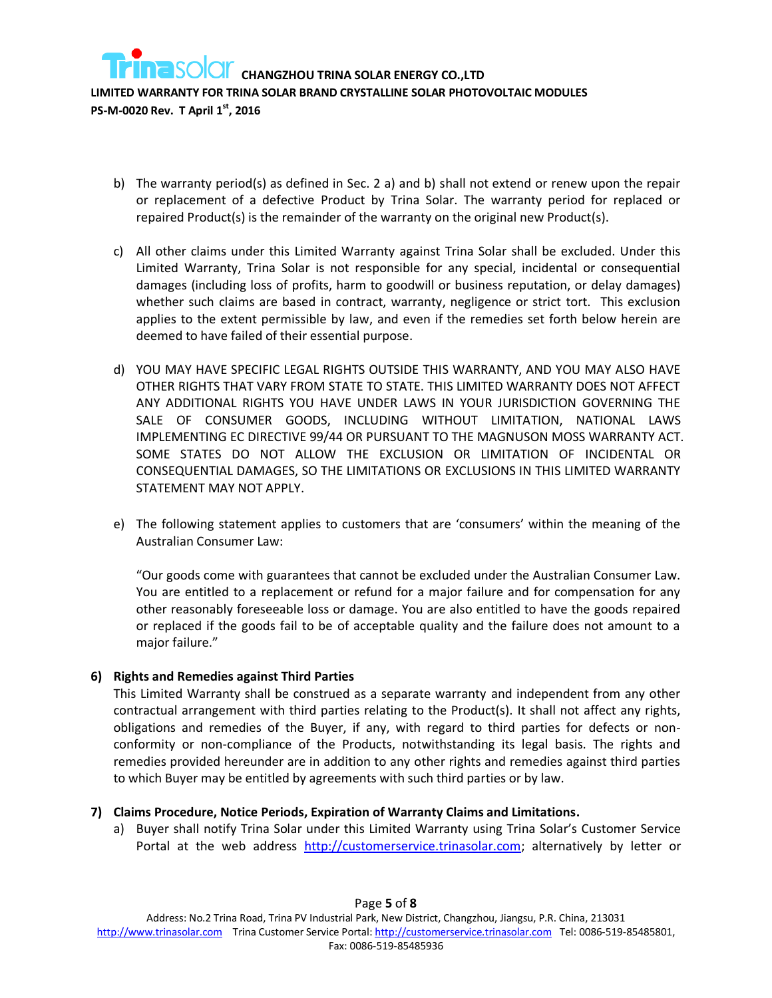

- b) The warranty period(s) as defined in Sec. 2 a) and b) shall not extend or renew upon the repair or replacement of a defective Product by Trina Solar. The warranty period for replaced or repaired Product(s) is the remainder of the warranty on the original new Product(s).
- c) All other claims under this Limited Warranty against Trina Solar shall be excluded. Under this Limited Warranty, Trina Solar is not responsible for any special, incidental or consequential damages (including loss of profits, harm to goodwill or business reputation, or delay damages) whether such claims are based in contract, warranty, negligence or strict tort. This exclusion applies to the extent permissible by law, and even if the remedies set forth below herein are deemed to have failed of their essential purpose.
- d) YOU MAY HAVE SPECIFIC LEGAL RIGHTS OUTSIDE THIS WARRANTY, AND YOU MAY ALSO HAVE OTHER RIGHTS THAT VARY FROM STATE TO STATE. THIS LIMITED WARRANTY DOES NOT AFFECT ANY ADDITIONAL RIGHTS YOU HAVE UNDER LAWS IN YOUR JURISDICTION GOVERNING THE SALE OF CONSUMER GOODS, INCLUDING WITHOUT LIMITATION, NATIONAL LAWS IMPLEMENTING EC DIRECTIVE 99/44 OR PURSUANT TO THE MAGNUSON MOSS WARRANTY ACT. SOME STATES DO NOT ALLOW THE EXCLUSION OR LIMITATION OF INCIDENTAL OR CONSEQUENTIAL DAMAGES, SO THE LIMITATIONS OR EXCLUSIONS IN THIS LIMITED WARRANTY STATEMENT MAY NOT APPLY.
- e) The following statement applies to customers that are 'consumers' within the meaning of the Australian Consumer Law:

"Our goods come with guarantees that cannot be excluded under the Australian Consumer Law. You are entitled to a replacement or refund for a major failure and for compensation for any other reasonably foreseeable loss or damage. You are also entitled to have the goods repaired or replaced if the goods fail to be of acceptable quality and the failure does not amount to a major failure."

### **6) Rights and Remedies against Third Parties**

This Limited Warranty shall be construed as a separate warranty and independent from any other contractual arrangement with third parties relating to the Product(s). It shall not affect any rights, obligations and remedies of the Buyer, if any, with regard to third parties for defects or nonconformity or non-compliance of the Products, notwithstanding its legal basis. The rights and remedies provided hereunder are in addition to any other rights and remedies against third parties to which Buyer may be entitled by agreements with such third parties or by law.

### **7) Claims Procedure, Notice Periods, Expiration of Warranty Claims and Limitations.**

a) Buyer shall notify Trina Solar under this Limited Warranty using Trina Solar's Customer Service Portal at the web address [http://customerservice.trinasolar.com;](http://customerservice.trinasolar.com/) alternatively by letter or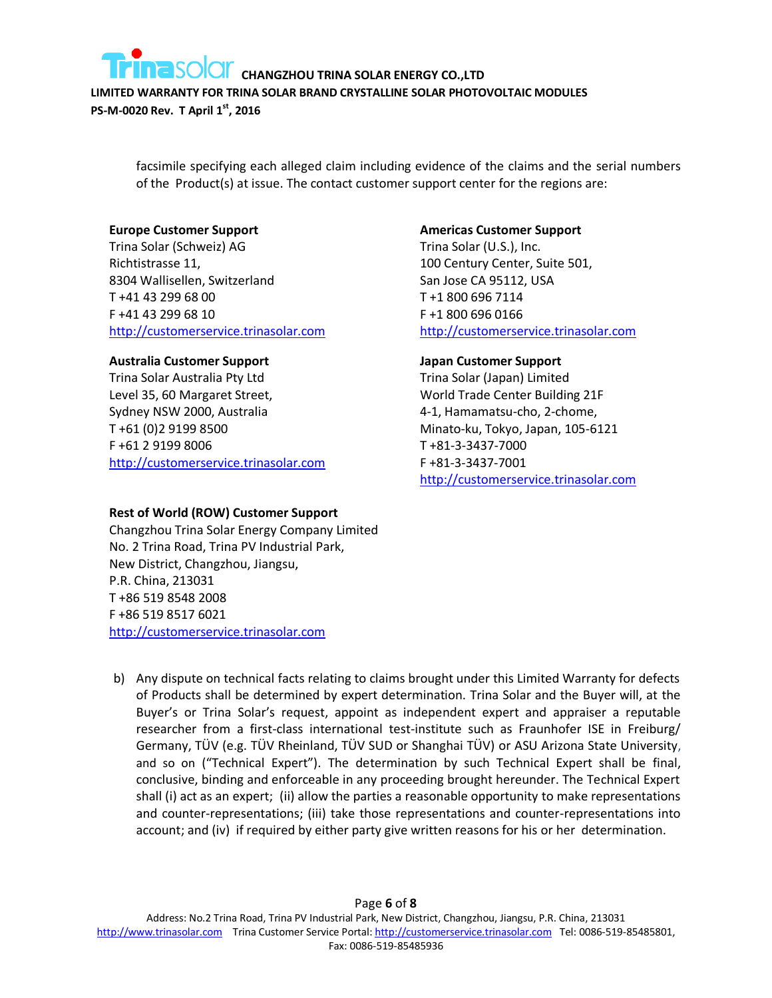

**LIMITED WARRANTY FOR TRINA SOLAR BRAND CRYSTALLINE SOLAR PHOTOVOLTAIC MODULES** 

**PS-M-0020 Rev. T April 1st, 2016**

facsimile specifying each alleged claim including evidence of the claims and the serial numbers of the Product(s) at issue. The contact customer support center for the regions are:

### **Europe Customer Support**

Trina Solar (Schweiz) AG Richtistrasse 11, 8304 Wallisellen, Switzerland T +41 43 299 68 00 F +41 43 299 68 10 [http://customerservice.trinasolar.com](http://customerservice.trinasolar.com/)

### **Australia Customer Support**

Trina Solar Australia Pty Ltd Level 35, 60 Margaret Street, Sydney NSW 2000, Australia T +61 (0)2 9199 8500 F +61 2 9199 8006 [http://customerservice.trinasolar.com](http://customerservice.trinasolar.com/)

### **Rest of World (ROW) Customer Support**

Changzhou Trina Solar Energy Company Limited No. 2 Trina Road, Trina PV Industrial Park, New District, Changzhou, Jiangsu, P.R. China, 213031 T +86 519 8548 2008 F +86 519 8517 6021 [http://customerservice.trinasolar.com](http://customerservice.trinasolar.com/)

### **Americas Customer Support**

Trina Solar (U.S.), Inc. 100 Century Center, Suite 501, San Jose CA 95112, USA T +1 800 696 7114 F +1 800 696 0166 [http://customerservice.trinasolar.com](http://customerservice.trinasolar.com/)

### **Japan Customer Support**

Trina Solar (Japan) Limited World Trade Center Building 21F 4-1, Hamamatsu-cho, 2-chome, Minato-ku, Tokyo, Japan, 105-6121 T +81-3-3437-7000 F +81-3-3437-7001 [http://customerservice.trinasolar.com](http://customerservice.trinasolar.com/)

b) Any dispute on technical facts relating to claims brought under this Limited Warranty for defects of Products shall be determined by expert determination. Trina Solar and the Buyer will, at the Buyer's or Trina Solar's request, appoint as independent expert and appraiser a reputable researcher from a first-class international test-institute such as Fraunhofer ISE in Freiburg/ Germany, TÜV (e.g. TÜV Rheinland, TÜV SUD or Shanghai TÜV) or ASU Arizona State University, and so on ("Technical Expert"). The determination by such Technical Expert shall be final, conclusive, binding and enforceable in any proceeding brought hereunder. The Technical Expert shall (i) act as an expert; (ii) allow the parties a reasonable opportunity to make representations and counter-representations; (iii) take those representations and counter-representations into account; and (iv) if required by either party give written reasons for his or her determination.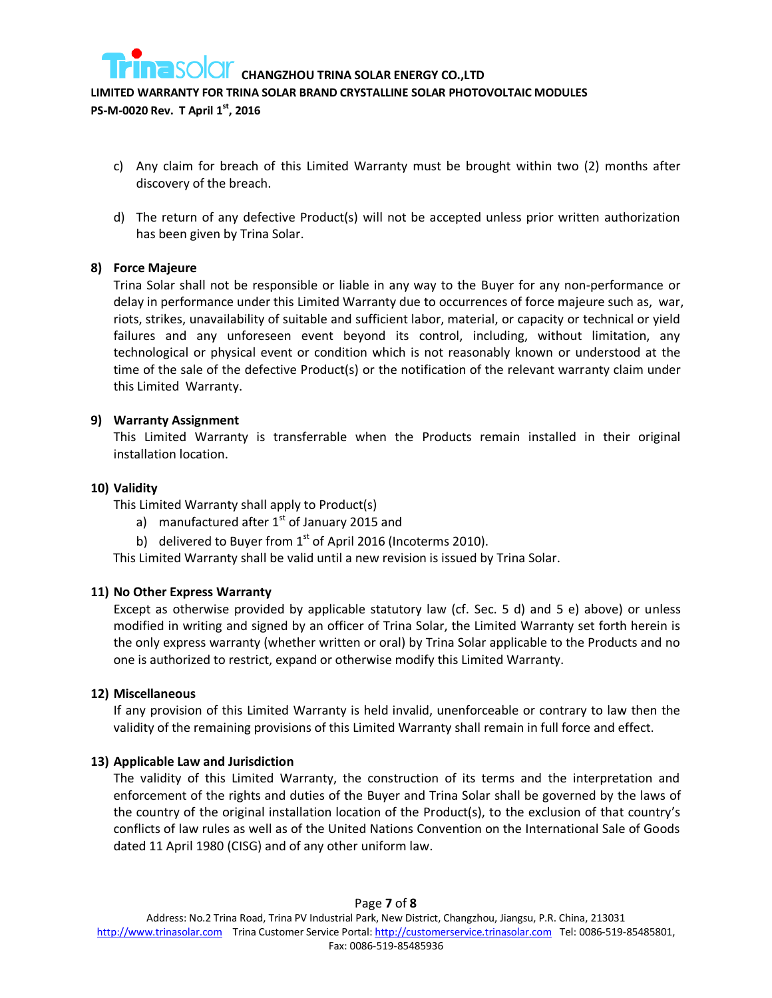

**LIMITED WARRANTY FOR TRINA SOLAR BRAND CRYSTALLINE SOLAR PHOTOVOLTAIC MODULES** 

**PS-M-0020 Rev. T April 1st, 2016**

- c) Any claim for breach of this Limited Warranty must be brought within two (2) months after discovery of the breach.
- d) The return of any defective Product(s) will not be accepted unless prior written authorization has been given by Trina Solar.

### **8) Force Majeure**

Trina Solar shall not be responsible or liable in any way to the Buyer for any non-performance or delay in performance under this Limited Warranty due to occurrences of force majeure such as, war, riots, strikes, unavailability of suitable and sufficient labor, material, or capacity or technical or yield failures and any unforeseen event beyond its control, including, without limitation, any technological or physical event or condition which is not reasonably known or understood at the time of the sale of the defective Product(s) or the notification of the relevant warranty claim under this Limited Warranty.

### **9) Warranty Assignment**

This Limited Warranty is transferrable when the Products remain installed in their original installation location.

### **10) Validity**

This Limited Warranty shall apply to Product(s)

- a) manufactured after  $1<sup>st</sup>$  of January 2015 and
- b) delivered to Buyer from  $1<sup>st</sup>$  of April 2016 (Incoterms 2010).

This Limited Warranty shall be valid until a new revision is issued by Trina Solar.

### **11) No Other Express Warranty**

Except as otherwise provided by applicable statutory law (cf. Sec. 5 d) and 5 e) above) or unless modified in writing and signed by an officer of Trina Solar, the Limited Warranty set forth herein is the only express warranty (whether written or oral) by Trina Solar applicable to the Products and no one is authorized to restrict, expand or otherwise modify this Limited Warranty.

#### **12) Miscellaneous**

If any provision of this Limited Warranty is held invalid, unenforceable or contrary to law then the validity of the remaining provisions of this Limited Warranty shall remain in full force and effect.

### **13) Applicable Law and Jurisdiction**

The validity of this Limited Warranty, the construction of its terms and the interpretation and enforcement of the rights and duties of the Buyer and Trina Solar shall be governed by the laws of the country of the original installation location of the Product(s), to the exclusion of that country's conflicts of law rules as well as of the United Nations Convention on the International Sale of Goods dated 11 April 1980 (CISG) and of any other uniform law.